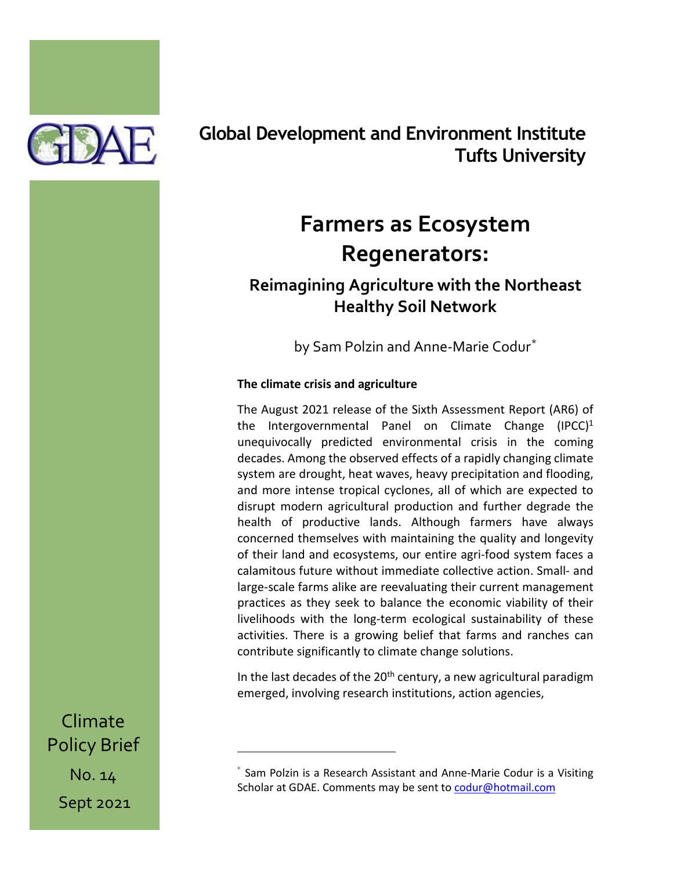

# **Global Development and Environment Institute Tufts University**

# **Farmers as Ecosystem Regenerators:**

# **Reimagining Agriculture with the Northeast Healthy Soil Network**

by Sam Polzin and Anne-Marie Codur[\\*](#page-0-0)

# **The climate crisis and agriculture**

The August 2021 release of the Sixth Assessment Report (AR6) of the Intergovernmental Panel on Climate Change  $(IPCC)^1$ unequivocally predicted environmental crisis in the coming decades. Among the observed effects of a rapidly changing climate system are drought, heat waves, heavy precipitation and flooding, and more intense tropical cyclones, all of which are expected to disrupt modern agricultural production and further degrade the health of productive lands. Although farmers have always concerned themselves with maintaining the quality and longevity of their land and ecosystems, our entire agri-food system faces a calamitous future without immediate collective action. Small- and large-scale farms alike are reevaluating their current management practices as they seek to balance the economic viability of their livelihoods with the long-term ecological sustainability of these activities. There is a growing belief that farms and ranches can contribute significantly to climate change solutions.

In the last decades of the  $20<sup>th</sup>$  century, a new agricultural paradigm emerged, involving research institutions, action agencies,

Climate Policy Brief No. 14

<span id="page-0-0"></span>Sept 2021

<sup>\*</sup> Sam Polzin is a Research Assistant and Anne-Marie Codur is a Visiting Scholar at GDAE. Comments may be sent t[o codur@hotmail.com](mailto:codur@hotmail.com)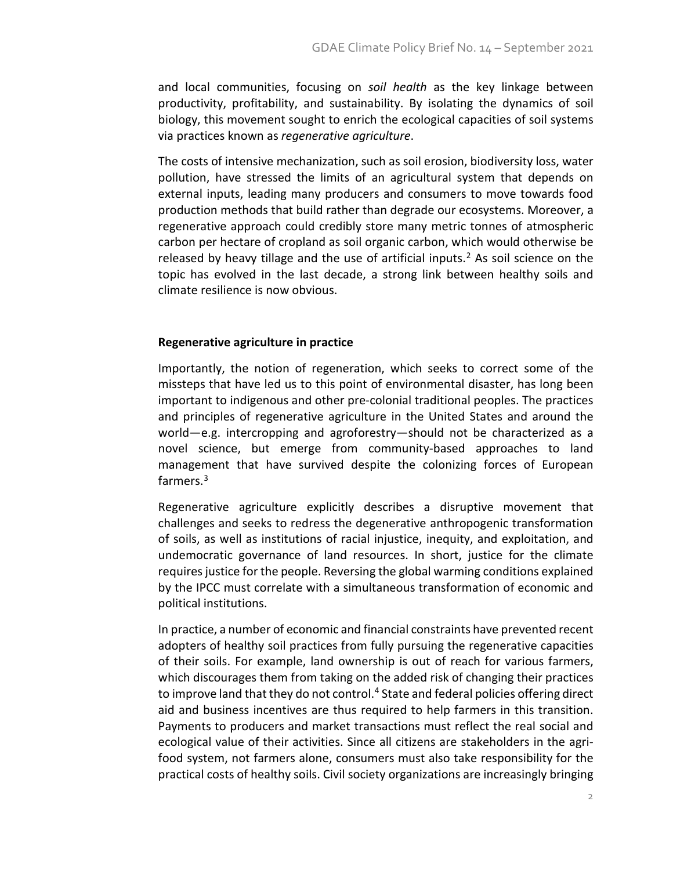and local communities, focusing on *soil health* as the key linkage between productivity, profitability, and sustainability. By isolating the dynamics of soil biology, this movement sought to enrich the ecological capacities of soil systems via practices known as *regenerative agriculture*.

The costs of intensive mechanization, such as soil erosion, biodiversity loss, water pollution, have stressed the limits of an agricultural system that depends on external inputs, leading many producers and consumers to move towards food production methods that build rather than degrade our ecosystems. Moreover, a regenerative approach could credibly store many metric tonnes of atmospheric carbon per hectare of cropland as soil organic carbon, which would otherwise be released by heavy tillage and the use of artificial inputs.<sup>[2](#page-9-0)</sup> As soil science on the topic has evolved in the last decade, a strong link between healthy soils and climate resilience is now obvious.

## **Regenerative agriculture in practice**

Importantly, the notion of regeneration, which seeks to correct some of the missteps that have led us to this point of environmental disaster, has long been important to indigenous and other pre-colonial traditional peoples. The practices and principles of regenerative agriculture in the United States and around the world—e.g. intercropping and agroforestry—should not be characterized as a novel science, but emerge from community-based approaches to land management that have survived despite the colonizing forces of European farmers.<sup>[3](#page-10-0)</sup>

Regenerative agriculture explicitly describes a disruptive movement that challenges and seeks to redress the degenerative anthropogenic transformation of soils, as well as institutions of racial injustice, inequity, and exploitation, and undemocratic governance of land resources. In short, justice for the climate requires justice for the people. Reversing the global warming conditions explained by the IPCC must correlate with a simultaneous transformation of economic and political institutions.

In practice, a number of economic and financial constraints have prevented recent adopters of healthy soil practices from fully pursuing the regenerative capacities of their soils. For example, land ownership is out of reach for various farmers, which discourages them from taking on the added risk of changing their practices to improve land that they do not control.<sup>[4](#page-10-1)</sup> State and federal policies offering direct aid and business incentives are thus required to help farmers in this transition. Payments to producers and market transactions must reflect the real social and ecological value of their activities. Since all citizens are stakeholders in the agrifood system, not farmers alone, consumers must also take responsibility for the practical costs of healthy soils. Civil society organizations are increasingly bringing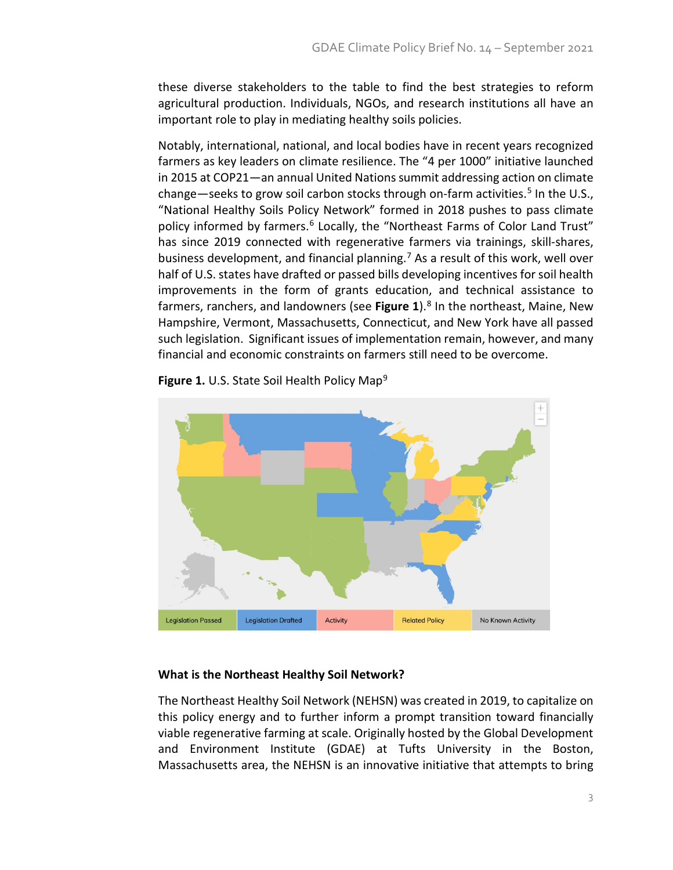these diverse stakeholders to the table to find the best strategies to reform agricultural production. Individuals, NGOs, and research institutions all have an important role to play in mediating healthy soils policies.

Notably, international, national, and local bodies have in recent years recognized farmers as key leaders on climate resilience. The "4 per 1000" initiative launched in 2015 at COP21—an annual United Nations summit addressing action on climate change—seeks to grow soil carbon stocks through on-farm activities.<sup>[5](#page-10-2)</sup> In the U.S., "National Healthy Soils Policy Network" formed in 2018 pushes to pass climate policy informed by farmers.<sup>[6](#page-10-3)</sup> Locally, the "Northeast Farms of Color Land Trust" has since 2019 connected with regenerative farmers via trainings, skill-shares, business development, and financial planning.<sup>[7](#page-10-4)</sup> As a result of this work, well over half of U.S. states have drafted or passed bills developing incentives for soil health improvements in the form of grants education, and technical assistance to farmers, ranchers, and landowners (see Figure 1).<sup>[8](#page-10-5)</sup> In the northeast, Maine, New Hampshire, Vermont, Massachusetts, Connecticut, and New York have all passed such legislation. Significant issues of implementation remain, however, and many financial and economic constraints on farmers still need to be overcome.



**Figure 1.** U.S. State Soil Health Policy Map<sup>[9](#page-10-6)</sup>

# **What is the Northeast Healthy Soil Network?**

The Northeast Healthy Soil Network (NEHSN) was created in 2019, to capitalize on this policy energy and to further inform a prompt transition toward financially viable regenerative farming at scale. Originally hosted by the Global Development and Environment Institute (GDAE) at Tufts University in the Boston, Massachusetts area, the NEHSN is an innovative initiative that attempts to bring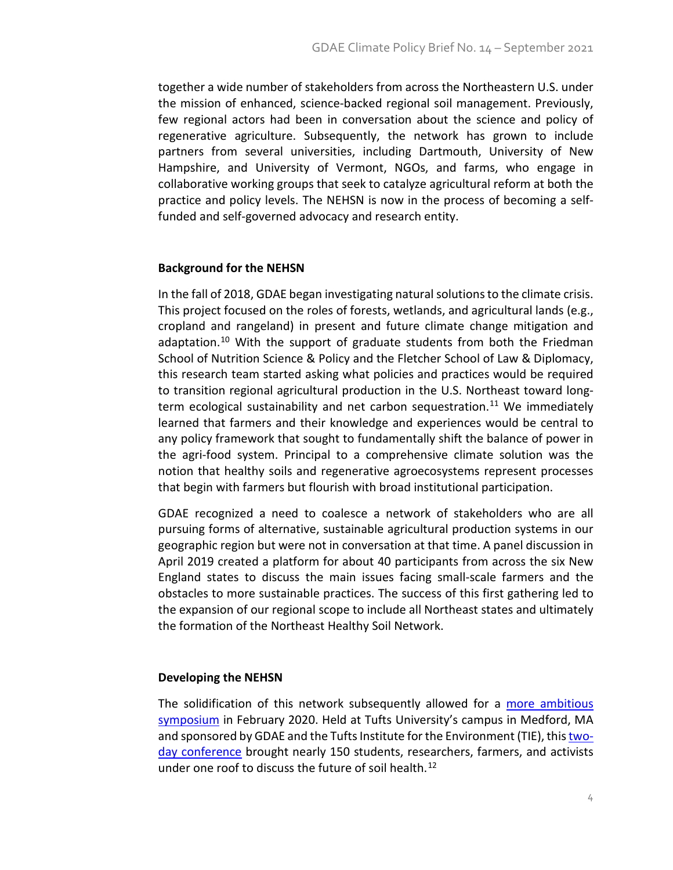together a wide number of stakeholders from across the Northeastern U.S. under the mission of enhanced, science-backed regional soil management. Previously, few regional actors had been in conversation about the science and policy of regenerative agriculture. Subsequently, the network has grown to include partners from several universities, including Dartmouth, University of New Hampshire, and University of Vermont, NGOs, and farms, who engage in collaborative working groups that seek to catalyze agricultural reform at both the practice and policy levels. The NEHSN is now in the process of becoming a selffunded and self-governed advocacy and research entity.

## **Background for the NEHSN**

In the fall of 2018, GDAE began investigating natural solutions to the climate crisis. This project focused on the roles of forests, wetlands, and agricultural lands (e.g., cropland and rangeland) in present and future climate change mitigation and adaptation.<sup>[10](#page-10-7)</sup> With the support of graduate students from both the Friedman School of Nutrition Science & Policy and the Fletcher School of Law & Diplomacy, this research team started asking what policies and practices would be required to transition regional agricultural production in the U.S. Northeast toward long-term ecological sustainability and net carbon sequestration.<sup>[11](#page-10-8)</sup> We immediately learned that farmers and their knowledge and experiences would be central to any policy framework that sought to fundamentally shift the balance of power in the agri-food system. Principal to a comprehensive climate solution was the notion that healthy soils and regenerative agroecosystems represent processes that begin with farmers but flourish with broad institutional participation.

GDAE recognized a need to coalesce a network of stakeholders who are all pursuing forms of alternative, sustainable agricultural production systems in our geographic region but were not in conversation at that time. A panel discussion in April 2019 created a platform for about 40 participants from across the six New England states to discuss the main issues facing small-scale farmers and the obstacles to more sustainable practices. The success of this first gathering led to the expansion of our regional scope to include all Northeast states and ultimately the formation of the Northeast Healthy Soil Network.

## **Developing the NEHSN**

The solidification of this network subsequently allowed for a [more ambitious](https://sites.tufts.edu/gdae/conferences-panels-and-events/)  [symposium](https://sites.tufts.edu/gdae/conferences-panels-and-events/) in February 2020. Held at Tufts University's campus in Medford, MA and sponsored by GDAE and the Tufts Institute for the Environment (TIE), thi[s two](https://sites.tufts.edu/gdae/conferences-panels-and-events/)[day conference](https://sites.tufts.edu/gdae/conferences-panels-and-events/) brought nearly 150 students, researchers, farmers, and activists under one roof to discuss the future of soil health.<sup>12</sup>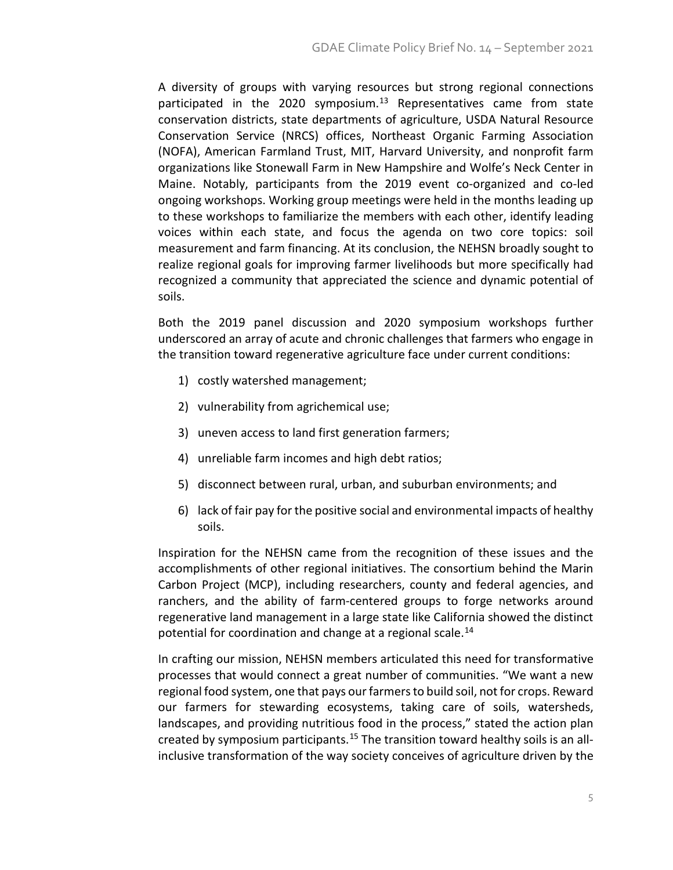A diversity of groups with varying resources but strong regional connections participated in the 2020 symposium.<sup>13</sup> Representatives came from state conservation districts, state departments of agriculture, USDA Natural Resource Conservation Service (NRCS) offices, Northeast Organic Farming Association (NOFA), American Farmland Trust, MIT, Harvard University, and nonprofit farm organizations like Stonewall Farm in New Hampshire and Wolfe's Neck Center in Maine. Notably, participants from the 2019 event co-organized and co-led ongoing workshops. Working group meetings were held in the months leading up to these workshops to familiarize the members with each other, identify leading voices within each state, and focus the agenda on two core topics: soil measurement and farm financing. At its conclusion, the NEHSN broadly sought to realize regional goals for improving farmer livelihoods but more specifically had recognized a community that appreciated the science and dynamic potential of soils.

Both the 2019 panel discussion and 2020 symposium workshops further underscored an array of acute and chronic challenges that farmers who engage in the transition toward regenerative agriculture face under current conditions:

- 1) costly watershed management;
- 2) vulnerability from agrichemical use;
- 3) uneven access to land first generation farmers;
- 4) unreliable farm incomes and high debt ratios;
- 5) disconnect between rural, urban, and suburban environments; and
- 6) lack of fair pay for the positive social and environmental impacts of healthy soils.

Inspiration for the NEHSN came from the recognition of these issues and the accomplishments of other regional initiatives. The consortium behind the Marin Carbon Project (MCP), including researchers, county and federal agencies, and ranchers, and the ability of farm-centered groups to forge networks around regenerative land management in a large state like California showed the distinct potential for coordination and change at a regional scale.<sup>[14](#page-10-11)</sup>

In crafting our mission, NEHSN members articulated this need for transformative processes that would connect a great number of communities. "We want a new regional food system, one that pays our farmers to build soil, not for crops. Reward our farmers for stewarding ecosystems, taking care of soils, watersheds, landscapes, and providing nutritious food in the process," stated the action plan created by symposium participants.<sup>[15](#page-10-12)</sup> The transition toward healthy soils is an allinclusive transformation of the way society conceives of agriculture driven by the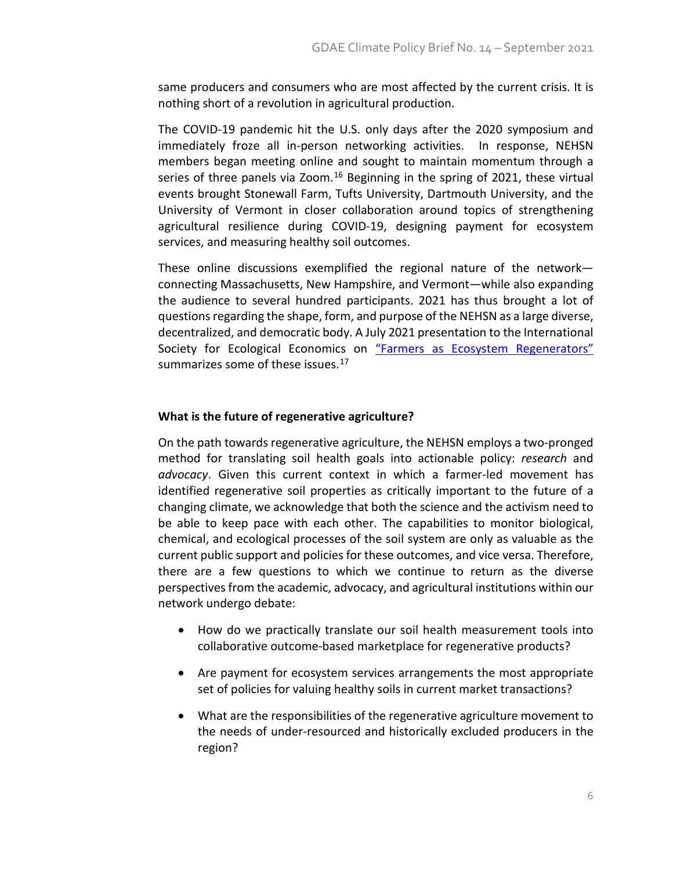same producers and consumers who are most affected by the current crisis. It is nothing short of a revolution in agricultural production.

The COVID-19 pandemic hit the U.S. only days after the 2020 symposium and immediately froze all in-person networking activities. In response, NEHSN members began meeting online and sought to maintain momentum through a series of three panels via Zoom.<sup>[16](#page-10-13)</sup> Beginning in the spring of 2021, these virtual events brought Stonewall Farm, Tufts University, Dartmouth University, and the University of Vermont in closer collaboration around topics of strengthening agricultural resilience during COVID-19, designing payment for ecosystem services, and measuring healthy soil outcomes.

These online discussions exemplified the regional nature of the network connecting Massachusetts, New Hampshire, and Vermont—while also expanding the audience to several hundred participants. 2021 has thus brought a lot of questions regarding the shape, form, and purpose of the NEHSN as a large diverse, decentralized, and democratic body. A July 2021 presentation to the International Society for Ecological Economics on ["Farmers as Ecosystem Regenerators"](https://sites.tufts.edu/gdae/conferences/) summarizes some of these issues.<sup>[17](#page-10-14)</sup>

## **What is the future of regenerative agriculture?**

On the path towards regenerative agriculture, the NEHSN employs a two-pronged method for translating soil health goals into actionable policy: *research* and *advocacy*. Given this current context in which a farmer-led movement has identified regenerative soil properties as critically important to the future of a changing climate, we acknowledge that both the science and the activism need to be able to keep pace with each other. The capabilities to monitor biological, chemical, and ecological processes of the soil system are only as valuable as the current public support and policies for these outcomes, and vice versa. Therefore, there are a few questions to which we continue to return as the diverse perspectives from the academic, advocacy, and agricultural institutions within our network undergo debate:

- How do we practically translate our soil health measurement tools into collaborative outcome-based marketplace for regenerative products?
- Are payment for ecosystem services arrangements the most appropriate set of policies for valuing healthy soils in current market transactions?
- What are the responsibilities of the regenerative agriculture movement to the needs of under-resourced and historically excluded producers in the region?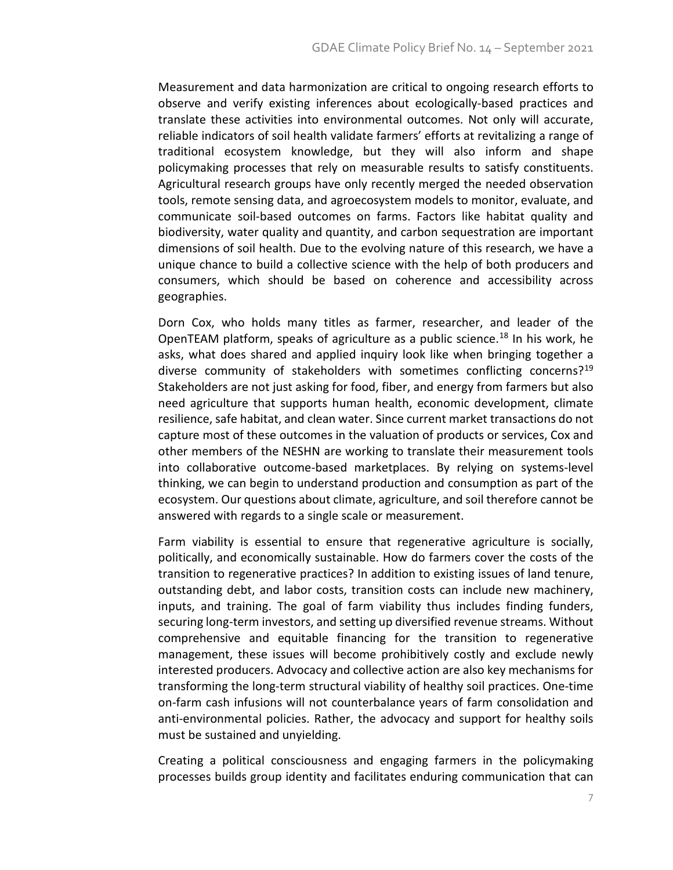Measurement and data harmonization are critical to ongoing research efforts to observe and verify existing inferences about ecologically-based practices and translate these activities into environmental outcomes. Not only will accurate, reliable indicators of soil health validate farmers' efforts at revitalizing a range of traditional ecosystem knowledge, but they will also inform and shape policymaking processes that rely on measurable results to satisfy constituents. Agricultural research groups have only recently merged the needed observation tools, remote sensing data, and agroecosystem models to monitor, evaluate, and communicate soil-based outcomes on farms. Factors like habitat quality and biodiversity, water quality and quantity, and carbon sequestration are important dimensions of soil health. Due to the evolving nature of this research, we have a unique chance to build a collective science with the help of both producers and consumers, which should be based on coherence and accessibility across geographies.

Dorn Cox, who holds many titles as farmer, researcher, and leader of the OpenTEAM platform, speaks of agriculture as a public science.<sup>[18](#page-10-15)</sup> In his work, he asks, what does shared and applied inquiry look like when bringing together a diverse community of stakeholders with sometimes conflicting concerns?<sup>[19](#page-10-16)</sup> Stakeholders are not just asking for food, fiber, and energy from farmers but also need agriculture that supports human health, economic development, climate resilience, safe habitat, and clean water. Since current market transactions do not capture most of these outcomes in the valuation of products or services, Cox and other members of the NESHN are working to translate their measurement tools into collaborative outcome-based marketplaces. By relying on systems-level thinking, we can begin to understand production and consumption as part of the ecosystem. Our questions about climate, agriculture, and soil therefore cannot be answered with regards to a single scale or measurement.

Farm viability is essential to ensure that regenerative agriculture is socially, politically, and economically sustainable. How do farmers cover the costs of the transition to regenerative practices? In addition to existing issues of land tenure, outstanding debt, and labor costs, transition costs can include new machinery, inputs, and training. The goal of farm viability thus includes finding funders, securing long-term investors, and setting up diversified revenue streams. Without comprehensive and equitable financing for the transition to regenerative management, these issues will become prohibitively costly and exclude newly interested producers. Advocacy and collective action are also key mechanisms for transforming the long-term structural viability of healthy soil practices. One-time on-farm cash infusions will not counterbalance years of farm consolidation and anti-environmental policies. Rather, the advocacy and support for healthy soils must be sustained and unyielding.

Creating a political consciousness and engaging farmers in the policymaking processes builds group identity and facilitates enduring communication that can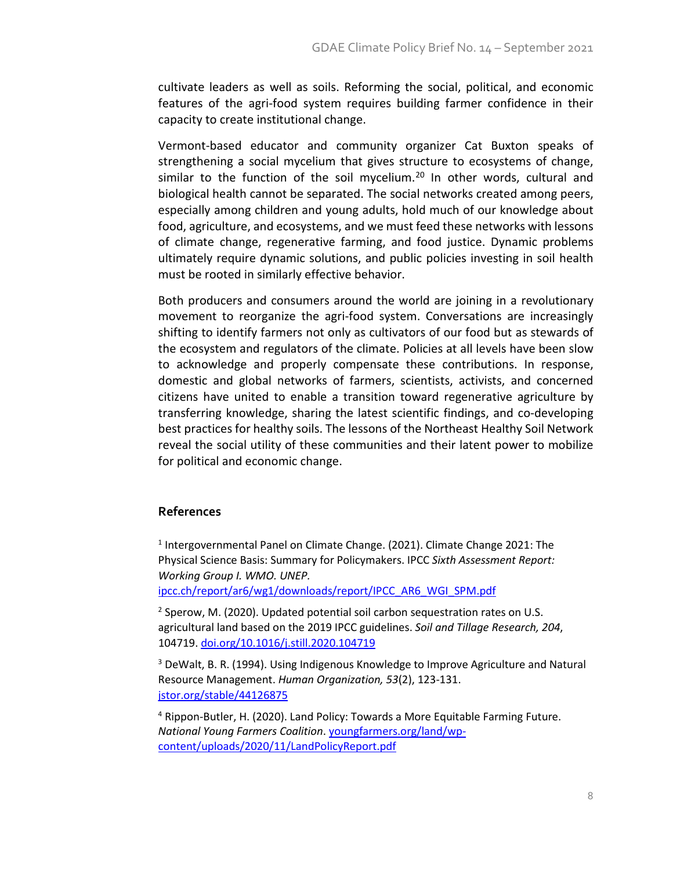cultivate leaders as well as soils. Reforming the social, political, and economic features of the agri-food system requires building farmer confidence in their capacity to create institutional change.

Vermont-based educator and community organizer Cat Buxton speaks of strengthening a social mycelium that gives structure to ecosystems of change, similar to the function of the soil mycelium.<sup>[20](#page-10-17)</sup> In other words, cultural and biological health cannot be separated. The social networks created among peers, especially among children and young adults, hold much of our knowledge about food, agriculture, and ecosystems, and we must feed these networks with lessons of climate change, regenerative farming, and food justice. Dynamic problems ultimately require dynamic solutions, and public policies investing in soil health must be rooted in similarly effective behavior.

Both producers and consumers around the world are joining in a revolutionary movement to reorganize the agri-food system. Conversations are increasingly shifting to identify farmers not only as cultivators of our food but as stewards of the ecosystem and regulators of the climate. Policies at all levels have been slow to acknowledge and properly compensate these contributions. In response, domestic and global networks of farmers, scientists, activists, and concerned citizens have united to enable a transition toward regenerative agriculture by transferring knowledge, sharing the latest scientific findings, and co-developing best practices for healthy soils. The lessons of the Northeast Healthy Soil Network reveal the social utility of these communities and their latent power to mobilize for political and economic change.

## **References**

<sup>1</sup> Intergovernmental Panel on Climate Change. (2021). Climate Change 2021: The Physical Science Basis: Summary for Policymakers. IPCC *Sixth Assessment Report: Working Group I. WMO. UNEP.* 

[ipcc.ch/report/ar6/wg1/downloads/report/IPCC\\_AR6\\_WGI\\_SPM.pdf](https://www.ipcc.ch/report/ar6/wg1/downloads/report/IPCC_AR6_WGI_SPM.pdf)

<sup>2</sup> Sperow, M. (2020). Updated potential soil carbon sequestration rates on U.S. agricultural land based on the 2019 IPCC guidelines. *Soil and Tillage Research, 204*, 104719. [doi.org/10.1016/j.still.2020.104719](https://doi.org/10.1016/j.still.2020.104719)

<sup>3</sup> DeWalt, B. R. (1994). Using Indigenous Knowledge to Improve Agriculture and Natural Resource Management. *Human Organization, 53*(2), 123-131. [jstor.org/stable/44126875](https://www.jstor.org/stable/44126875)

<sup>4</sup> Rippon-Butler, H. (2020). Land Policy: Towards a More Equitable Farming Future. *National Young Farmers Coalition*. [youngfarmers.org/land/wp](https://www.youngfarmers.org/land/wp-content/uploads/2020/11/LandPolicyReport.pdf)[content/uploads/2020/11/LandPolicyReport.pdf](https://www.youngfarmers.org/land/wp-content/uploads/2020/11/LandPolicyReport.pdf)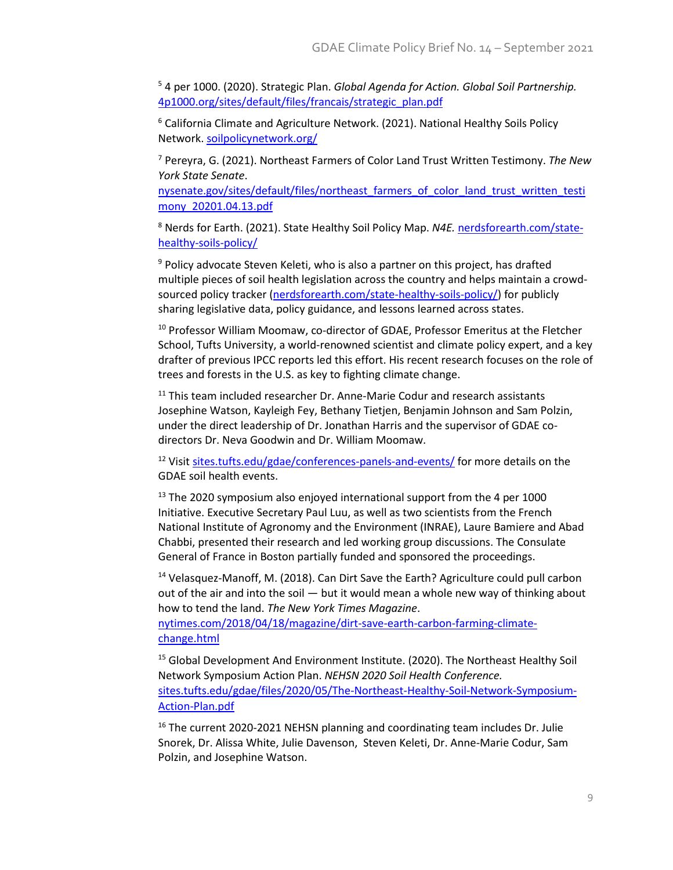<sup>5</sup> 4 per 1000. (2020). Strategic Plan. *Global Agenda for Action. Global Soil Partnership.* [4p1000.org/sites/default/files/francais/strategic\\_plan.pdf](https://www.4p1000.org/sites/default/files/francais/strategic_plan.pdf)

<sup>6</sup> California Climate and Agriculture Network. (2021). National Healthy Soils Policy Network. [soilpolicynetwork.org/](https://www.soilpolicynetwork.org/)

<sup>7</sup> Pereyra, G. (2021). Northeast Farmers of Color Land Trust Written Testimony. *The New York State Senate*.

[nysenate.gov/sites/default/files/northeast\\_farmers\\_of\\_color\\_land\\_trust\\_written\\_testi](https://www.nysenate.gov/sites/default/files/northeast_farmers_of_color_land_trust_written_testimony_20201.04.13.pdf) [mony\\_20201.04.13.pdf](https://www.nysenate.gov/sites/default/files/northeast_farmers_of_color_land_trust_written_testimony_20201.04.13.pdf)

<sup>8</sup> Nerds for Earth. (2021). State Healthy Soil Policy Map. *N4E.* [nerdsforearth.com/state](https://nerdsforearth.com/state-healthy-soils-policy/)[healthy-soils-policy/](https://nerdsforearth.com/state-healthy-soils-policy/)

<sup>9</sup> Policy advocate Steven Keleti, who is also a partner on this project, has drafted multiple pieces of soil health legislation across the country and helps maintain a crowd-sourced policy tracker [\(nerdsforearth.com/state-healthy-soils-policy/\)](https://nerdsforearth.com/state-healthy-soils-policy/) for publicly sharing legislative data, policy guidance, and lessons learned across states.

<sup>10</sup> Professor William Moomaw, co-director of GDAE, Professor Emeritus at the Fletcher School, Tufts University, a world-renowned scientist and climate policy expert, and a key drafter of previous IPCC reports led this effort. His recent research focuses on the role of trees and forests in the U.S. as key to fighting climate change.

<sup>11</sup> This team included researcher Dr. Anne-Marie Codur and research assistants Josephine Watson, Kayleigh Fey, Bethany Tietjen, Benjamin Johnson and Sam Polzin, under the direct leadership of Dr. Jonathan Harris and the supervisor of GDAE codirectors Dr. Neva Goodwin and Dr. William Moomaw.

<sup>12</sup> Visit [sites.tufts.edu/gdae/conferences-panels-and-events/](https://sites.tufts.edu/gdae/conferences-panels-and-events/) for more details on the GDAE soil health events.

<sup>13</sup> The 2020 symposium also enjoyed international support from the 4 per 1000 Initiative. Executive Secretary Paul Luu, as well as two scientists from the French National Institute of Agronomy and the Environment (INRAE), Laure Bamiere and Abad Chabbi, presented their research and led working group discussions. The Consulate General of France in Boston partially funded and sponsored the proceedings.

<sup>14</sup> Velasquez-Manoff, M. (2018). Can Dirt Save the Earth? Agriculture could pull carbon out of the air and into the soil — but it would mean a whole new way of thinking about how to tend the land. *The New York Times Magazine*.

[nytimes.com/2018/04/18/magazine/dirt-save-earth-carbon-farming-climate](https://www.nytimes.com/2018/04/18/magazine/dirt-save-earth-carbon-farming-climate-change.html)[change.html](https://www.nytimes.com/2018/04/18/magazine/dirt-save-earth-carbon-farming-climate-change.html)

<sup>15</sup> Global Development And Environment Institute. (2020). The Northeast Healthy Soil Network Symposium Action Plan. *NEHSN 2020 Soil Health Conference.* [sites.tufts.edu/gdae/files/2020/05/The-Northeast-Healthy-Soil-Network-Symposium-](https://sites.tufts.edu/gdae/files/2020/05/The-Northeast-Healthy-Soil-Network-Symposium-Action-Plan.pdf)[Action-Plan.pdf](https://sites.tufts.edu/gdae/files/2020/05/The-Northeast-Healthy-Soil-Network-Symposium-Action-Plan.pdf)

<sup>16</sup> The current 2020-2021 NEHSN planning and coordinating team includes Dr. Julie Snorek, Dr. Alissa White, Julie Davenson, Steven Keleti, Dr. Anne-Marie Codur, Sam Polzin, and Josephine Watson.